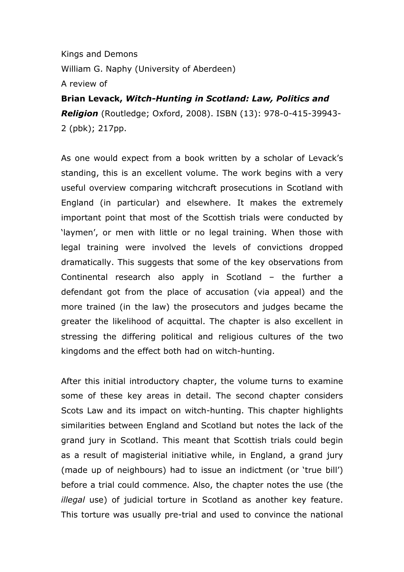Kings and Demons William G. Naphy (University of Aberdeen) A review of

## Brian Levack, Witch-Hunting in Scotland: Law, Politics and **Religion** (Routledge; Oxford, 2008). ISBN (13): 978-0-415-39943-2 (pbk); 217pp.

As one would expect from a book written by a scholar of Levack's standing, this is an excellent volume. The work begins with a very useful overview comparing witchcraft prosecutions in Scotland with England (in particular) and elsewhere. It makes the extremely important point that most of the Scottish trials were conducted by 'laymen', or men with little or no legal training. When those with legal training were involved the levels of convictions dropped dramatically. This suggests that some of the key observations from Continental research also apply in Scotland – the further a defendant got from the place of accusation (via appeal) and the more trained (in the law) the prosecutors and judges became the greater the likelihood of acquittal. The chapter is also excellent in stressing the differing political and religious cultures of the two kingdoms and the effect both had on witch-hunting.

After this initial introductory chapter, the volume turns to examine some of these key areas in detail. The second chapter considers Scots Law and its impact on witch-hunting. This chapter highlights similarities between England and Scotland but notes the lack of the grand jury in Scotland. This meant that Scottish trials could begin as a result of magisterial initiative while, in England, a grand jury (made up of neighbours) had to issue an indictment (or 'true bill') before a trial could commence. Also, the chapter notes the use (the illegal use) of judicial torture in Scotland as another key feature. This torture was usually pre-trial and used to convince the national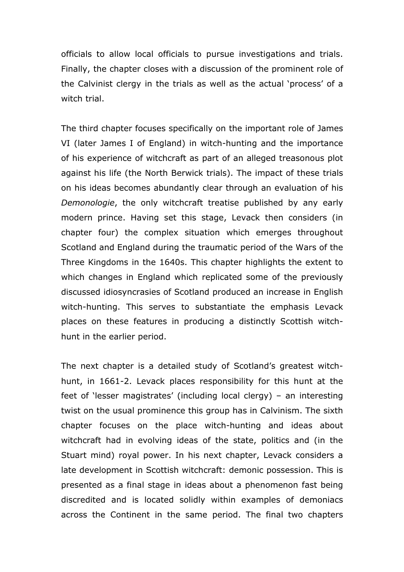officials to allow local officials to pursue investigations and trials. Finally, the chapter closes with a discussion of the prominent role of the Calvinist clergy in the trials as well as the actual 'process' of a witch trial.

The third chapter focuses specifically on the important role of James VI (later James I of England) in witch-hunting and the importance of his experience of witchcraft as part of an alleged treasonous plot against his life (the North Berwick trials). The impact of these trials on his ideas becomes abundantly clear through an evaluation of his Demonologie, the only witchcraft treatise published by any early modern prince. Having set this stage, Levack then considers (in chapter four) the complex situation which emerges throughout Scotland and England during the traumatic period of the Wars of the Three Kingdoms in the 1640s. This chapter highlights the extent to which changes in England which replicated some of the previously discussed idiosyncrasies of Scotland produced an increase in English witch-hunting. This serves to substantiate the emphasis Levack places on these features in producing a distinctly Scottish witchhunt in the earlier period.

The next chapter is a detailed study of Scotland's greatest witchhunt, in 1661-2. Levack places responsibility for this hunt at the feet of 'lesser magistrates' (including local clergy) – an interesting twist on the usual prominence this group has in Calvinism. The sixth chapter focuses on the place witch-hunting and ideas about witchcraft had in evolving ideas of the state, politics and (in the Stuart mind) royal power. In his next chapter, Levack considers a late development in Scottish witchcraft: demonic possession. This is presented as a final stage in ideas about a phenomenon fast being discredited and is located solidly within examples of demoniacs across the Continent in the same period. The final two chapters